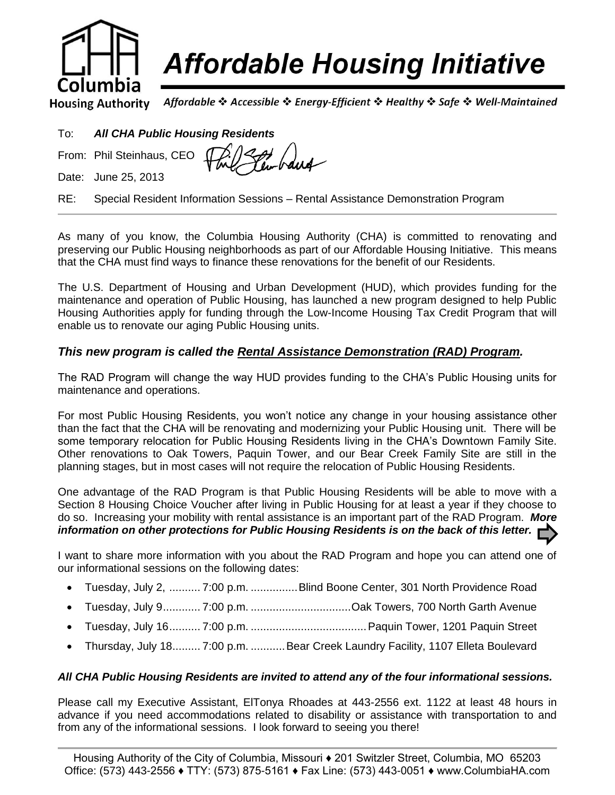

# **Affordable Housing Initiative**

Affordable ❖ Accessible ❖ Energy-Efficient ❖ Healthy ❖ Safe ❖ Well-Maintained **Housing Authority** 

| To: | <b>All CHA Public Housing Residents</b> |
|-----|-----------------------------------------|
|     |                                         |

Een-baug From: Phil Steinhaus, CEO

Date: June 25, 2013

RE: Special Resident Information Sessions – Rental Assistance Demonstration Program

As many of you know, the Columbia Housing Authority (CHA) is committed to renovating and preserving our Public Housing neighborhoods as part of our Affordable Housing Initiative. This means that the CHA must find ways to finance these renovations for the benefit of our Residents.

The U.S. Department of Housing and Urban Development (HUD), which provides funding for the maintenance and operation of Public Housing, has launched a new program designed to help Public Housing Authorities apply for funding through the Low-Income Housing Tax Credit Program that will enable us to renovate our aging Public Housing units.

#### *This new program is called the Rental Assistance Demonstration (RAD) Program.*

The RAD Program will change the way HUD provides funding to the CHA's Public Housing units for maintenance and operations.

For most Public Housing Residents, you won't notice any change in your housing assistance other than the fact that the CHA will be renovating and modernizing your Public Housing unit. There will be some temporary relocation for Public Housing Residents living in the CHA's Downtown Family Site. Other renovations to Oak Towers, Paquin Tower, and our Bear Creek Family Site are still in the planning stages, but in most cases will not require the relocation of Public Housing Residents.

One advantage of the RAD Program is that Public Housing Residents will be able to move with a Section 8 Housing Choice Voucher after living in Public Housing for at least a year if they choose to do so. Increasing your mobility with rental assistance is an important part of the RAD Program. *More information on other protections for Public Housing Residents is on the back of this letter.*

I want to share more information with you about the RAD Program and hope you can attend one of our informational sessions on the following dates:

- Tuesday, July 2, .......... 7:00 p.m. ...............Blind Boone Center, 301 North Providence Road
- Tuesday, July 9............ 7:00 p.m. ................................Oak Towers, 700 North Garth Avenue
- Tuesday, July 16.......... 7:00 p.m. .....................................Paquin Tower, 1201 Paquin Street
- Thursday, July 18......... 7:00 p.m. ........... Bear Creek Laundry Facility, 1107 Elleta Boulevard

#### *All CHA Public Housing Residents are invited to attend any of the four informational sessions.*

Please call my Executive Assistant, ElTonya Rhoades at 443-2556 ext. 1122 at least 48 hours in advance if you need accommodations related to disability or assistance with transportation to and from any of the informational sessions. I look forward to seeing you there!